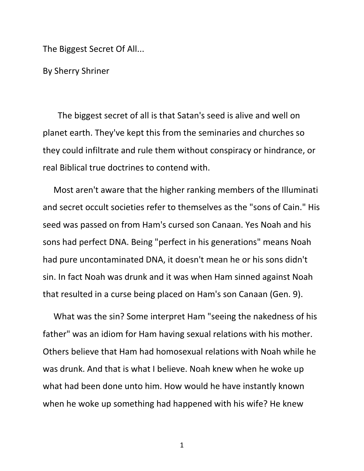The Biggest Secret Of All...

By Sherry Shriner

 The biggest secret of all is that Satan's seed is alive and well on planet earth. They've kept this from the seminaries and churches so they could infiltrate and rule them without conspiracy or hindrance, or real Biblical true doctrines to contend with.

 Most aren't aware that the higher ranking members of the Illuminati and secret occult societies refer to themselves as the "sons of Cain." His seed was passed on from Ham's cursed son Canaan. Yes Noah and his sons had perfect DNA. Being "perfect in his generations" means Noah had pure uncontaminated DNA, it doesn't mean he or his sons didn't sin. In fact Noah was drunk and it was when Ham sinned against Noah that resulted in a curse being placed on Ham's son Canaan (Gen. 9).

 What was the sin? Some interpret Ham "seeing the nakedness of his father" was an idiom for Ham having sexual relations with his mother. Others believe that Ham had homosexual relations with Noah while he was drunk. And that is what I believe. Noah knew when he woke up what had been done unto him. How would he have instantly known when he woke up something had happened with his wife? He knew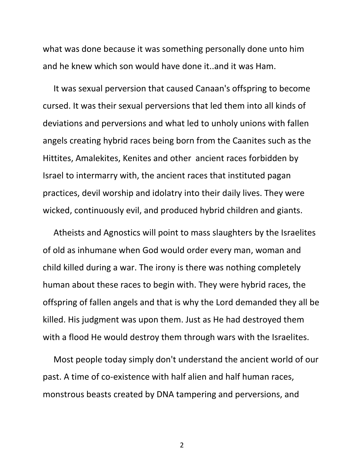what was done because it was something personally done unto him and he knew which son would have done it..and it was Ham.

 It was sexual perversion that caused Canaan's offspring to become cursed. It was their sexual perversions that led them into all kinds of deviations and perversions and what led to unholy unions with fallen angels creating hybrid races being born from the Caanites such as the Hittites, Amalekites, Kenites and other ancient races forbidden by Israel to intermarry with, the ancient races that instituted pagan practices, devil worship and idolatry into their daily lives. They were wicked, continuously evil, and produced hybrid children and giants.

 Atheists and Agnostics will point to mass slaughters by the Israelites of old as inhumane when God would order every man, woman and child killed during a war. The irony is there was nothing completely human about these races to begin with. They were hybrid races, the offspring of fallen angels and that is why the Lord demanded they all be killed. His judgment was upon them. Just as He had destroyed them with a flood He would destroy them through wars with the Israelites.

 Most people today simply don't understand the ancient world of our past. A time of co-existence with half alien and half human races, monstrous beasts created by DNA tampering and perversions, and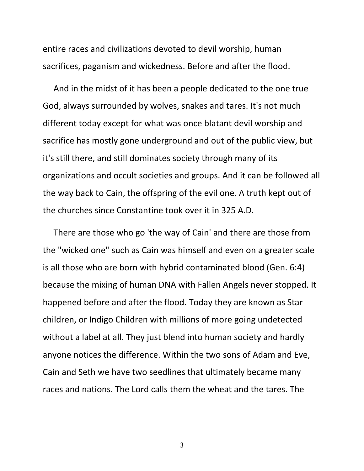entire races and civilizations devoted to devil worship, human sacrifices, paganism and wickedness. Before and after the flood.

 And in the midst of it has been a people dedicated to the one true God, always surrounded by wolves, snakes and tares. It's not much different today except for what was once blatant devil worship and sacrifice has mostly gone underground and out of the public view, but it's still there, and still dominates society through many of its organizations and occult societies and groups. And it can be followed all the way back to Cain, the offspring of the evil one. A truth kept out of the churches since Constantine took over it in 325 A.D.

 There are those who go 'the way of Cain' and there are those from the "wicked one" such as Cain was himself and even on a greater scale is all those who are born with hybrid contaminated blood (Gen. 6:4) because the mixing of human DNA with Fallen Angels never stopped. It happened before and after the flood. Today they are known as Star children, or Indigo Children with millions of more going undetected without a label at all. They just blend into human society and hardly anyone notices the difference. Within the two sons of Adam and Eve, Cain and Seth we have two seedlines that ultimately became many races and nations. The Lord calls them the wheat and the tares. The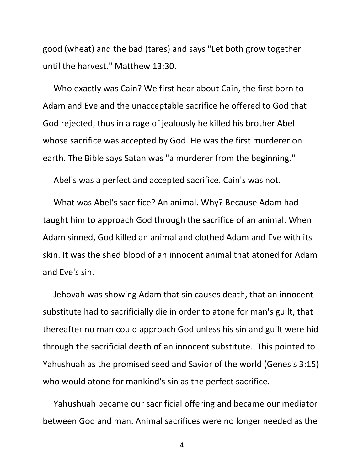good (wheat) and the bad (tares) and says "Let both grow together until the harvest." Matthew 13:30.

 Who exactly was Cain? We first hear about Cain, the first born to Adam and Eve and the unacceptable sacrifice he offered to God that God rejected, thus in a rage of jealously he killed his brother Abel whose sacrifice was accepted by God. He was the first murderer on earth. The Bible says Satan was "a murderer from the beginning."

Abel's was a perfect and accepted sacrifice. Cain's was not.

 What was Abel's sacrifice? An animal. Why? Because Adam had taught him to approach God through the sacrifice of an animal. When Adam sinned, God killed an animal and clothed Adam and Eve with its skin. It was the shed blood of an innocent animal that atoned for Adam and Eve's sin.

 Jehovah was showing Adam that sin causes death, that an innocent substitute had to sacrificially die in order to atone for man's guilt, that thereafter no man could approach God unless his sin and guilt were hid through the sacrificial death of an innocent substitute. This pointed to Yahushuah as the promised seed and Savior of the world (Genesis 3:15) who would atone for mankind's sin as the perfect sacrifice.

 Yahushuah became our sacrificial offering and became our mediator between God and man. Animal sacrifices were no longer needed as the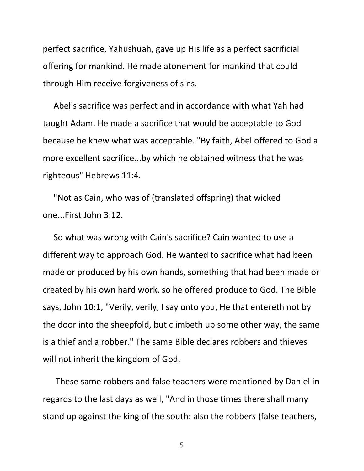perfect sacrifice, Yahushuah, gave up His life as a perfect sacrificial offering for mankind. He made atonement for mankind that could through Him receive forgiveness of sins.

 Abel's sacrifice was perfect and in accordance with what Yah had taught Adam. He made a sacrifice that would be acceptable to God because he knew what was acceptable. "By faith, Abel offered to God a more excellent sacrifice...by which he obtained witness that he was righteous" Hebrews 11:4.

 "Not as Cain, who was of (translated offspring) that wicked one...First John 3:12.

 So what was wrong with Cain's sacrifice? Cain wanted to use a different way to approach God. He wanted to sacrifice what had been made or produced by his own hands, something that had been made or created by his own hard work, so he offered produce to God. The Bible says, John 10:1, "Verily, verily, I say unto you, He that entereth not by the door into the sheepfold, but climbeth up some other way, the same is a thief and a robber." The same Bible declares robbers and thieves will not inherit the kingdom of God.

 These same robbers and false teachers were mentioned by Daniel in regards to the last days as well, "And in those times there shall many stand up against the king of the south: also the robbers (false teachers,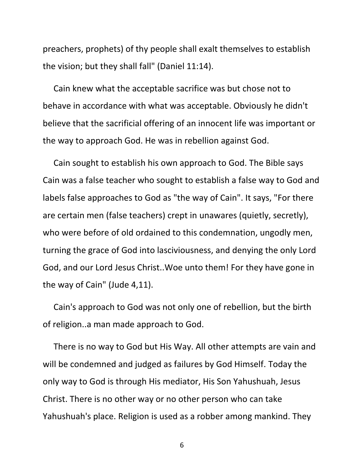preachers, prophets) of thy people shall exalt themselves to establish the vision; but they shall fall" (Daniel 11:14).

 Cain knew what the acceptable sacrifice was but chose not to behave in accordance with what was acceptable. Obviously he didn't believe that the sacrificial offering of an innocent life was important or the way to approach God. He was in rebellion against God.

 Cain sought to establish his own approach to God. The Bible says Cain was a false teacher who sought to establish a false way to God and labels false approaches to God as "the way of Cain". It says, "For there are certain men (false teachers) crept in unawares (quietly, secretly), who were before of old ordained to this condemnation, ungodly men, turning the grace of God into lasciviousness, and denying the only Lord God, and our Lord Jesus Christ..Woe unto them! For they have gone in the way of Cain" (Jude 4,11).

 Cain's approach to God was not only one of rebellion, but the birth of religion..a man made approach to God.

 There is no way to God but His Way. All other attempts are vain and will be condemned and judged as failures by God Himself. Today the only way to God is through His mediator, His Son Yahushuah, Jesus Christ. There is no other way or no other person who can take Yahushuah's place. Religion is used as a robber among mankind. They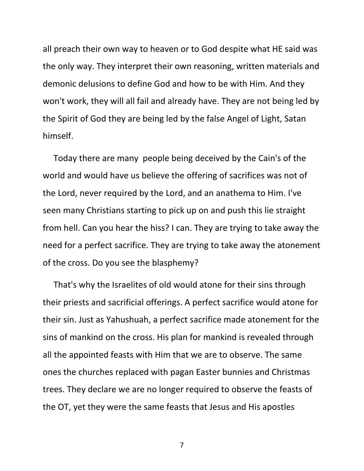all preach their own way to heaven or to God despite what HE said was the only way. They interpret their own reasoning, written materials and demonic delusions to define God and how to be with Him. And they won't work, they will all fail and already have. They are not being led by the Spirit of God they are being led by the false Angel of Light, Satan himself.

 Today there are many people being deceived by the Cain's of the world and would have us believe the offering of sacrifices was not of the Lord, never required by the Lord, and an anathema to Him. I've seen many Christians starting to pick up on and push this lie straight from hell. Can you hear the hiss? I can. They are trying to take away the need for a perfect sacrifice. They are trying to take away the atonement of the cross. Do you see the blasphemy?

 That's why the Israelites of old would atone for their sins through their priests and sacrificial offerings. A perfect sacrifice would atone for their sin. Just as Yahushuah, a perfect sacrifice made atonement for the sins of mankind on the cross. His plan for mankind is revealed through all the appointed feasts with Him that we are to observe. The same ones the churches replaced with pagan Easter bunnies and Christmas trees. They declare we are no longer required to observe the feasts of the OT, yet they were the same feasts that Jesus and His apostles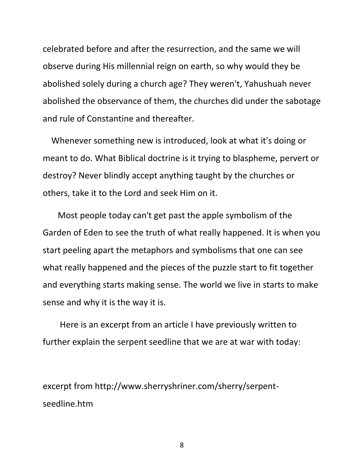celebrated before and after the resurrection, and the same we will observe during His millennial reign on earth, so why would they be abolished solely during a church age? They weren't, Yahushuah never abolished the observance of them, the churches did under the sabotage and rule of Constantine and thereafter.

 Whenever something new is introduced, look at what it's doing or meant to do. What Biblical doctrine is it trying to blaspheme, pervert or destroy? Never blindly accept anything taught by the churches or others, take it to the Lord and seek Him on it.

 Most people today can't get past the apple symbolism of the Garden of Eden to see the truth of what really happened. It is when you start peeling apart the metaphors and symbolisms that one can see what really happened and the pieces of the puzzle start to fit together and everything starts making sense. The world we live in starts to make sense and why it is the way it is.

 Here is an excerpt from an article I have previously written to further explain the serpent seedline that we are at war with today:

excerpt from http://www.sherryshriner.com/sherry/serpentseedline.htm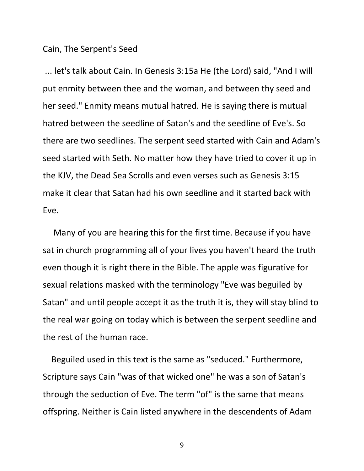## Cain, The Serpent's Seed

... let's talk about Cain. In Genesis 3:15a He (the Lord) said, "And I will put enmity between thee and the woman, and between thy seed and her seed." Enmity means mutual hatred. He is saying there is mutual hatred between the seedline of Satan's and the seedline of Eve's. So there are two seedlines. The serpent seed started with Cain and Adam's seed started with Seth. No matter how they have tried to cover it up in the KJV, the Dead Sea Scrolls and even verses such as Genesis 3:15 make it clear that Satan had his own seedline and it started back with Eve.

 Many of you are hearing this for the first time. Because if you have sat in church programming all of your lives you haven't heard the truth even though it is right there in the Bible. The apple was figurative for sexual relations masked with the terminology "Eve was beguiled by Satan" and until people accept it as the truth it is, they will stay blind to the real war going on today which is between the serpent seedline and the rest of the human race.

 Beguiled used in this text is the same as "seduced." Furthermore, Scripture says Cain "was of that wicked one" he was a son of Satan's through the seduction of Eve. The term "of" is the same that means offspring. Neither is Cain listed anywhere in the descendents of Adam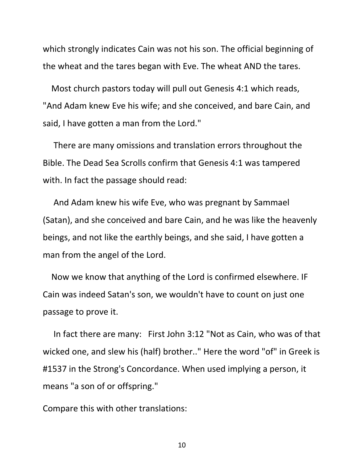which strongly indicates Cain was not his son. The official beginning of the wheat and the tares began with Eve. The wheat AND the tares.

 Most church pastors today will pull out Genesis 4:1 which reads, "And Adam knew Eve his wife; and she conceived, and bare Cain, and said, I have gotten a man from the Lord."

 There are many omissions and translation errors throughout the Bible. The Dead Sea Scrolls confirm that Genesis 4:1 was tampered with. In fact the passage should read:

 And Adam knew his wife Eve, who was pregnant by Sammael (Satan), and she conceived and bare Cain, and he was like the heavenly beings, and not like the earthly beings, and she said, I have gotten a man from the angel of the Lord.

 Now we know that anything of the Lord is confirmed elsewhere. IF Cain was indeed Satan's son, we wouldn't have to count on just one passage to prove it.

 In fact there are many: First John 3:12 "Not as Cain, who was of that wicked one, and slew his (half) brother.." Here the word "of" in Greek is #1537 in the Strong's Concordance. When used implying a person, it means "a son of or offspring."

Compare this with other translations: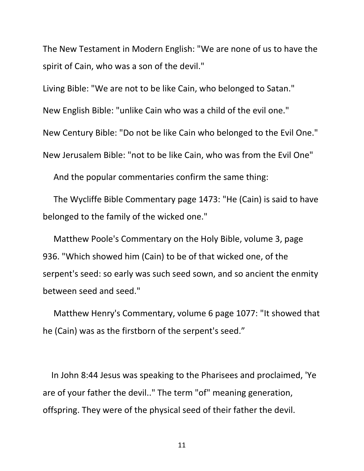The New Testament in Modern English: "We are none of us to have the spirit of Cain, who was a son of the devil."

Living Bible: "We are not to be like Cain, who belonged to Satan." New English Bible: "unlike Cain who was a child of the evil one." New Century Bible: "Do not be like Cain who belonged to the Evil One." New Jerusalem Bible: "not to be like Cain, who was from the Evil One"

And the popular commentaries confirm the same thing:

 The Wycliffe Bible Commentary page 1473: "He (Cain) is said to have belonged to the family of the wicked one."

 Matthew Poole's Commentary on the Holy Bible, volume 3, page 936. "Which showed him (Cain) to be of that wicked one, of the serpent's seed: so early was such seed sown, and so ancient the enmity between seed and seed."

 Matthew Henry's Commentary, volume 6 page 1077: "It showed that he (Cain) was as the firstborn of the serpent's seed."

 In John 8:44 Jesus was speaking to the Pharisees and proclaimed, 'Ye are of your father the devil.." The term "of" meaning generation, offspring. They were of the physical seed of their father the devil.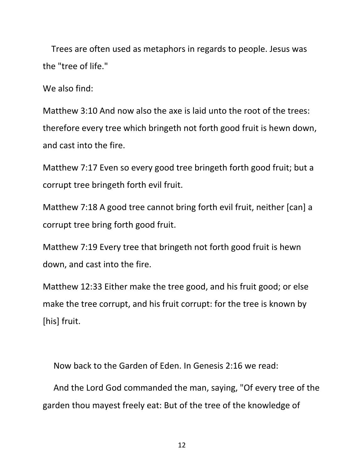Trees are often used as metaphors in regards to people. Jesus was the "tree of life."

We also find:

Matthew 3:10 And now also the axe is laid unto the root of the trees: therefore every tree which bringeth not forth good fruit is hewn down, and cast into the fire.

Matthew 7:17 Even so every good tree bringeth forth good fruit; but a corrupt tree bringeth forth evil fruit.

Matthew 7:18 A good tree cannot bring forth evil fruit, neither [can] a corrupt tree bring forth good fruit.

Matthew 7:19 Every tree that bringeth not forth good fruit is hewn down, and cast into the fire.

Matthew 12:33 Either make the tree good, and his fruit good; or else make the tree corrupt, and his fruit corrupt: for the tree is known by [his] fruit.

Now back to the Garden of Eden. In Genesis 2:16 we read:

 And the Lord God commanded the man, saying, "Of every tree of the garden thou mayest freely eat: But of the tree of the knowledge of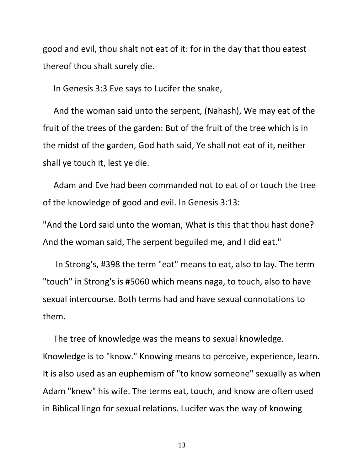good and evil, thou shalt not eat of it: for in the day that thou eatest thereof thou shalt surely die.

In Genesis 3:3 Eve says to Lucifer the snake,

 And the woman said unto the serpent, (Nahash), We may eat of the fruit of the trees of the garden: But of the fruit of the tree which is in the midst of the garden, God hath said, Ye shall not eat of it, neither shall ye touch it, lest ye die.

 Adam and Eve had been commanded not to eat of or touch the tree of the knowledge of good and evil. In Genesis 3:13:

"And the Lord said unto the woman, What is this that thou hast done? And the woman said, The serpent beguiled me, and I did eat."

 In Strong's, #398 the term "eat" means to eat, also to lay. The term "touch" in Strong's is #5060 which means naga, to touch, also to have sexual intercourse. Both terms had and have sexual connotations to them.

 The tree of knowledge was the means to sexual knowledge. Knowledge is to "know." Knowing means to perceive, experience, learn. It is also used as an euphemism of "to know someone" sexually as when Adam "knew" his wife. The terms eat, touch, and know are often used in Biblical lingo for sexual relations. Lucifer was the way of knowing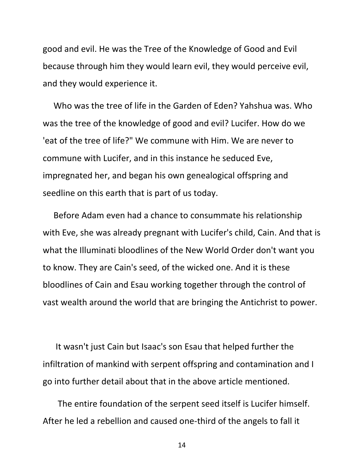good and evil. He was the Tree of the Knowledge of Good and Evil because through him they would learn evil, they would perceive evil, and they would experience it.

 Who was the tree of life in the Garden of Eden? Yahshua was. Who was the tree of the knowledge of good and evil? Lucifer. How do we 'eat of the tree of life?" We commune with Him. We are never to commune with Lucifer, and in this instance he seduced Eve, impregnated her, and began his own genealogical offspring and seedline on this earth that is part of us today.

 Before Adam even had a chance to consummate his relationship with Eve, she was already pregnant with Lucifer's child, Cain. And that is what the Illuminati bloodlines of the New World Order don't want you to know. They are Cain's seed, of the wicked one. And it is these bloodlines of Cain and Esau working together through the control of vast wealth around the world that are bringing the Antichrist to power.

 It wasn't just Cain but Isaac's son Esau that helped further the infiltration of mankind with serpent offspring and contamination and I go into further detail about that in the above article mentioned.

 The entire foundation of the serpent seed itself is Lucifer himself. After he led a rebellion and caused one-third of the angels to fall it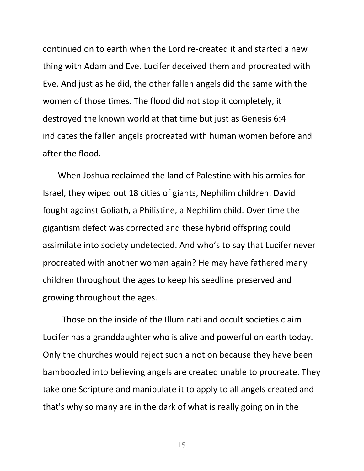continued on to earth when the Lord re-created it and started a new thing with Adam and Eve. Lucifer deceived them and procreated with Eve. And just as he did, the other fallen angels did the same with the women of those times. The flood did not stop it completely, it destroyed the known world at that time but just as Genesis 6:4 indicates the fallen angels procreated with human women before and after the flood.

 When Joshua reclaimed the land of Palestine with his armies for Israel, they wiped out 18 cities of giants, Nephilim children. David fought against Goliath, a Philistine, a Nephilim child. Over time the gigantism defect was corrected and these hybrid offspring could assimilate into society undetected. And who's to say that Lucifer never procreated with another woman again? He may have fathered many children throughout the ages to keep his seedline preserved and growing throughout the ages.

 Those on the inside of the Illuminati and occult societies claim Lucifer has a granddaughter who is alive and powerful on earth today. Only the churches would reject such a notion because they have been bamboozled into believing angels are created unable to procreate. They take one Scripture and manipulate it to apply to all angels created and that's why so many are in the dark of what is really going on in the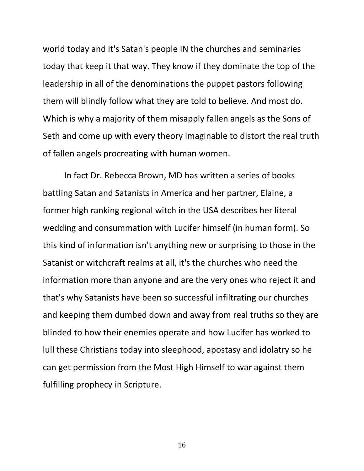world today and it's Satan's people IN the churches and seminaries today that keep it that way. They know if they dominate the top of the leadership in all of the denominations the puppet pastors following them will blindly follow what they are told to believe. And most do. Which is why a majority of them misapply fallen angels as the Sons of Seth and come up with every theory imaginable to distort the real truth of fallen angels procreating with human women.

 In fact Dr. Rebecca Brown, MD has written a series of books battling Satan and Satanists in America and her partner, Elaine, a former high ranking regional witch in the USA describes her literal wedding and consummation with Lucifer himself (in human form). So this kind of information isn't anything new or surprising to those in the Satanist or witchcraft realms at all, it's the churches who need the information more than anyone and are the very ones who reject it and that's why Satanists have been so successful infiltrating our churches and keeping them dumbed down and away from real truths so they are blinded to how their enemies operate and how Lucifer has worked to lull these Christians today into sleephood, apostasy and idolatry so he can get permission from the Most High Himself to war against them fulfilling prophecy in Scripture.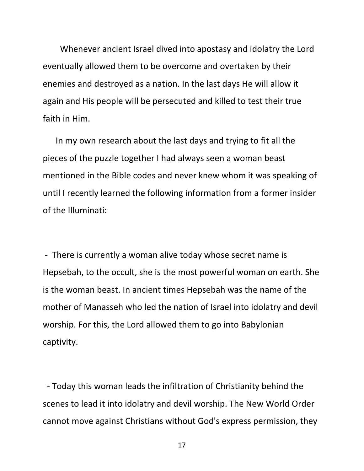Whenever ancient Israel dived into apostasy and idolatry the Lord eventually allowed them to be overcome and overtaken by their enemies and destroyed as a nation. In the last days He will allow it again and His people will be persecuted and killed to test their true faith in Him.

 In my own research about the last days and trying to fit all the pieces of the puzzle together I had always seen a woman beast mentioned in the Bible codes and never knew whom it was speaking of until I recently learned the following information from a former insider of the Illuminati:

- There is currently a woman alive today whose secret name is Hepsebah, to the occult, she is the most powerful woman on earth. She is the woman beast. In ancient times Hepsebah was the name of the mother of Manasseh who led the nation of Israel into idolatry and devil worship. For this, the Lord allowed them to go into Babylonian captivity.

 - Today this woman leads the infiltration of Christianity behind the scenes to lead it into idolatry and devil worship. The New World Order cannot move against Christians without God's express permission, they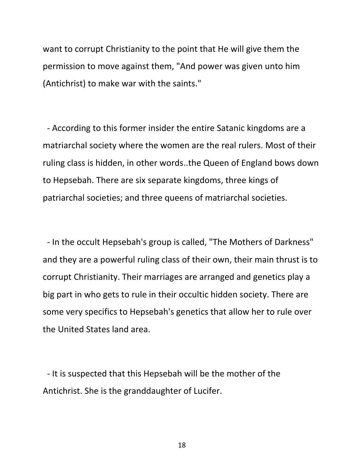want to corrupt Christianity to the point that He will give them the permission to move against them, "And power was given unto him (Antichrist) to make war with the saints."

 - According to this former insider the entire Satanic kingdoms are a matriarchal society where the women are the real rulers. Most of their ruling class is hidden, in other words..the Queen of England bows down to Hepsebah. There are six separate kingdoms, three kings of patriarchal societies; and three queens of matriarchal societies.

 - In the occult Hepsebah's group is called, "The Mothers of Darkness" and they are a powerful ruling class of their own, their main thrust is to corrupt Christianity. Their marriages are arranged and genetics play a big part in who gets to rule in their occultic hidden society. There are some very specifics to Hepsebah's genetics that allow her to rule over the United States land area.

 - It is suspected that this Hepsebah will be the mother of the Antichrist. She is the granddaughter of Lucifer.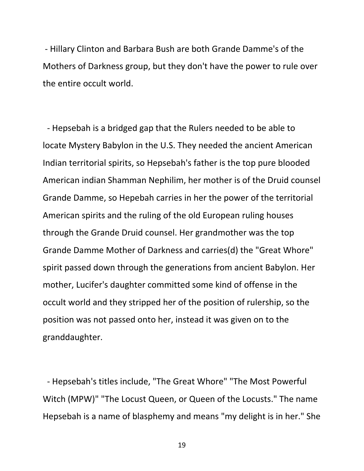- Hillary Clinton and Barbara Bush are both Grande Damme's of the Mothers of Darkness group, but they don't have the power to rule over the entire occult world.

 - Hepsebah is a bridged gap that the Rulers needed to be able to locate Mystery Babylon in the U.S. They needed the ancient American Indian territorial spirits, so Hepsebah's father is the top pure blooded American indian Shamman Nephilim, her mother is of the Druid counsel Grande Damme, so Hepebah carries in her the power of the territorial American spirits and the ruling of the old European ruling houses through the Grande Druid counsel. Her grandmother was the top Grande Damme Mother of Darkness and carries(d) the "Great Whore" spirit passed down through the generations from ancient Babylon. Her mother, Lucifer's daughter committed some kind of offense in the occult world and they stripped her of the position of rulership, so the position was not passed onto her, instead it was given on to the granddaughter.

 - Hepsebah's titles include, "The Great Whore" "The Most Powerful Witch (MPW)" "The Locust Queen, or Queen of the Locusts." The name Hepsebah is a name of blasphemy and means "my delight is in her." She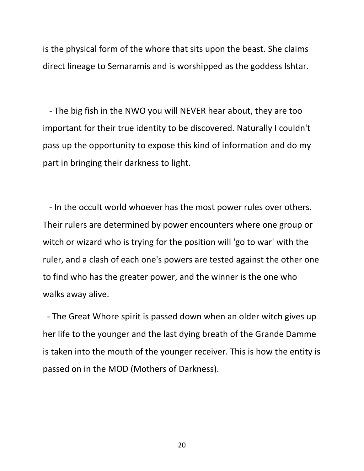is the physical form of the whore that sits upon the beast. She claims direct lineage to Semaramis and is worshipped as the goddess Ishtar.

 - The big fish in the NWO you will NEVER hear about, they are too important for their true identity to be discovered. Naturally I couldn't pass up the opportunity to expose this kind of information and do my part in bringing their darkness to light.

 - In the occult world whoever has the most power rules over others. Their rulers are determined by power encounters where one group or witch or wizard who is trying for the position will 'go to war' with the ruler, and a clash of each one's powers are tested against the other one to find who has the greater power, and the winner is the one who walks away alive.

 - The Great Whore spirit is passed down when an older witch gives up her life to the younger and the last dying breath of the Grande Damme is taken into the mouth of the younger receiver. This is how the entity is passed on in the MOD (Mothers of Darkness).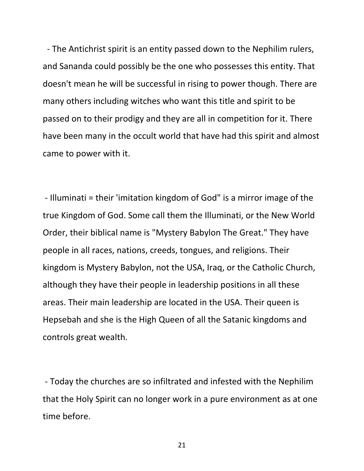- The Antichrist spirit is an entity passed down to the Nephilim rulers, and Sananda could possibly be the one who possesses this entity. That doesn't mean he will be successful in rising to power though. There are many others including witches who want this title and spirit to be passed on to their prodigy and they are all in competition for it. There have been many in the occult world that have had this spirit and almost came to power with it.

- Illuminati = their 'imitation kingdom of God" is a mirror image of the true Kingdom of God. Some call them the Illuminati, or the New World Order, their biblical name is "Mystery Babylon The Great." They have people in all races, nations, creeds, tongues, and religions. Their kingdom is Mystery Babylon, not the USA, Iraq, or the Catholic Church, although they have their people in leadership positions in all these areas. Their main leadership are located in the USA. Their queen is Hepsebah and she is the High Queen of all the Satanic kingdoms and controls great wealth.

- Today the churches are so infiltrated and infested with the Nephilim that the Holy Spirit can no longer work in a pure environment as at one time before.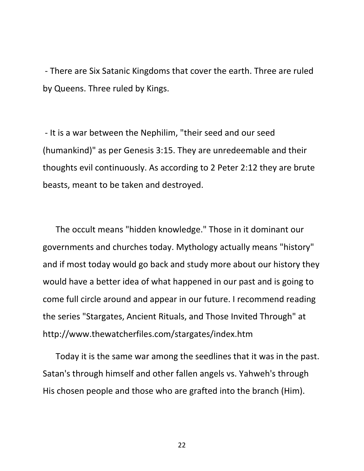- There are Six Satanic Kingdoms that cover the earth. Three are ruled by Queens. Three ruled by Kings.

- It is a war between the Nephilim, "their seed and our seed (humankind)" as per Genesis 3:15. They are unredeemable and their thoughts evil continuously. As according to 2 Peter 2:12 they are brute beasts, meant to be taken and destroyed.

 The occult means "hidden knowledge." Those in it dominant our governments and churches today. Mythology actually means "history" and if most today would go back and study more about our history they would have a better idea of what happened in our past and is going to come full circle around and appear in our future. I recommend reading the series "Stargates, Ancient Rituals, and Those Invited Through" at http://www.thewatcherfiles.com/stargates/index.htm

 Today it is the same war among the seedlines that it was in the past. Satan's through himself and other fallen angels vs. Yahweh's through His chosen people and those who are grafted into the branch (Him).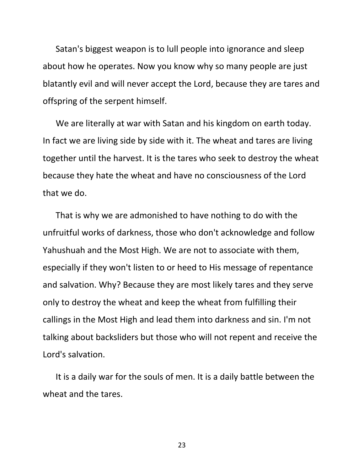Satan's biggest weapon is to lull people into ignorance and sleep about how he operates. Now you know why so many people are just blatantly evil and will never accept the Lord, because they are tares and offspring of the serpent himself.

 We are literally at war with Satan and his kingdom on earth today. In fact we are living side by side with it. The wheat and tares are living together until the harvest. It is the tares who seek to destroy the wheat because they hate the wheat and have no consciousness of the Lord that we do.

 That is why we are admonished to have nothing to do with the unfruitful works of darkness, those who don't acknowledge and follow Yahushuah and the Most High. We are not to associate with them, especially if they won't listen to or heed to His message of repentance and salvation. Why? Because they are most likely tares and they serve only to destroy the wheat and keep the wheat from fulfilling their callings in the Most High and lead them into darkness and sin. I'm not talking about backsliders but those who will not repent and receive the Lord's salvation.

 It is a daily war for the souls of men. It is a daily battle between the wheat and the tares.